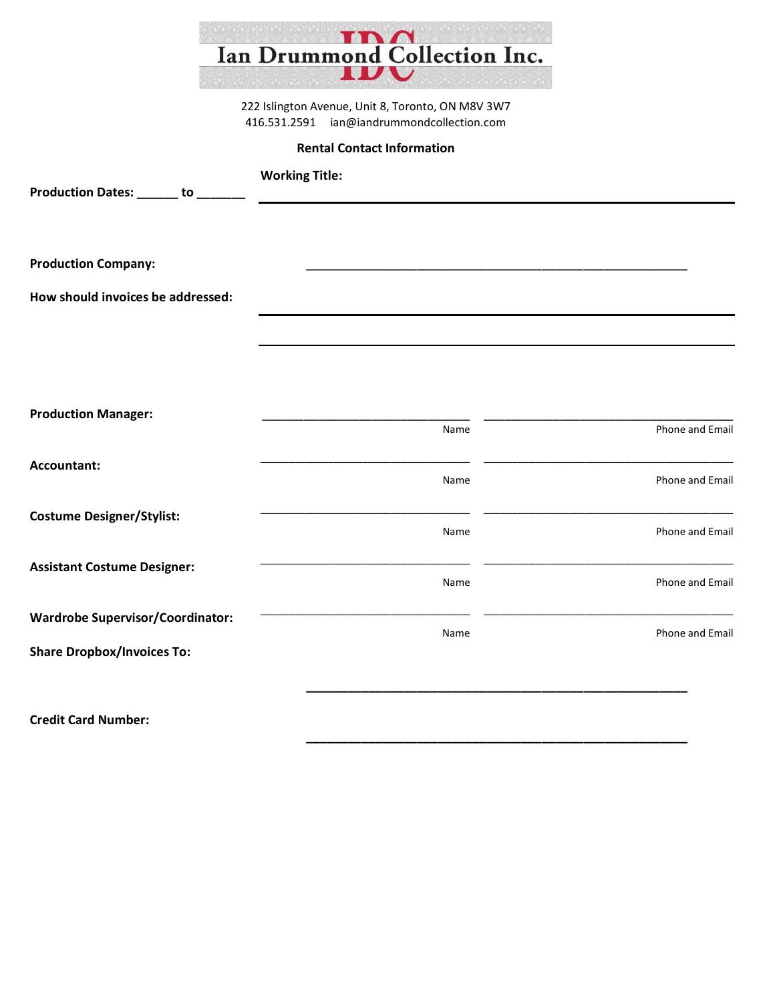|                                         | <b>A</b><br>Ian Drummond Collection Inc.                                                        |                 |
|-----------------------------------------|-------------------------------------------------------------------------------------------------|-----------------|
|                                         | 222 Islington Avenue, Unit 8, Toronto, ON M8V 3W7<br>416.531.2591 ian@iandrummondcollection.com |                 |
|                                         | <b>Rental Contact Information</b>                                                               |                 |
|                                         | <b>Working Title:</b>                                                                           |                 |
| Production Dates: _____ to _            |                                                                                                 |                 |
|                                         |                                                                                                 |                 |
|                                         |                                                                                                 |                 |
| <b>Production Company:</b>              |                                                                                                 |                 |
| How should invoices be addressed:       |                                                                                                 |                 |
|                                         |                                                                                                 |                 |
|                                         |                                                                                                 |                 |
|                                         |                                                                                                 |                 |
| <b>Production Manager:</b>              |                                                                                                 |                 |
|                                         | Name                                                                                            | Phone and Email |
| Accountant:                             |                                                                                                 |                 |
|                                         | Name                                                                                            | Phone and Email |
| <b>Costume Designer/Stylist:</b>        |                                                                                                 |                 |
|                                         | Name                                                                                            | Phone and Email |
| <b>Assistant Costume Designer:</b>      |                                                                                                 |                 |
|                                         | Name                                                                                            | Phone and Email |
| <b>Wardrobe Supervisor/Coordinator:</b> |                                                                                                 |                 |
| <b>Share Dropbox/Invoices To:</b>       | Name                                                                                            | Phone and Email |
|                                         |                                                                                                 |                 |
|                                         |                                                                                                 |                 |
| <b>Credit Card Number:</b>              |                                                                                                 |                 |

**\_\_\_\_\_\_\_\_\_\_\_\_\_\_\_\_\_\_\_\_\_\_\_\_\_\_\_\_\_\_\_\_\_\_\_\_\_\_\_\_\_\_\_\_\_\_\_\_\_\_\_\_\_\_\_**